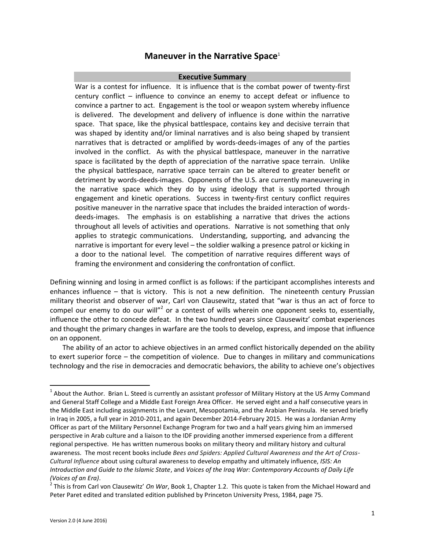# **Maneuver in the Narrative Space**<sup>1</sup>

#### **Executive Summary**

War is a contest for influence. It is influence that is the combat power of twenty-first century conflict – influence to convince an enemy to accept defeat or influence to convince a partner to act. Engagement is the tool or weapon system whereby influence is delivered. The development and delivery of influence is done within the narrative space. That space, like the physical battlespace, contains key and decisive terrain that was shaped by identity and/or liminal narratives and is also being shaped by transient narratives that is detracted or amplified by words-deeds-images of any of the parties involved in the conflict. As with the physical battlespace, maneuver in the narrative space is facilitated by the depth of appreciation of the narrative space terrain. Unlike the physical battlespace, narrative space terrain can be altered to greater benefit or detriment by words-deeds-images. Opponents of the U.S. are currently maneuvering in the narrative space which they do by using ideology that is supported through engagement and kinetic operations. Success in twenty-first century conflict requires positive maneuver in the narrative space that includes the braided interaction of wordsdeeds-images. The emphasis is on establishing a narrative that drives the actions throughout all levels of activities and operations. Narrative is not something that only applies to strategic communications. Understanding, supporting, and advancing the narrative is important for every level – the soldier walking a presence patrol or kicking in a door to the national level. The competition of narrative requires different ways of framing the environment and considering the confrontation of conflict.

Defining winning and losing in armed conflict is as follows: if the participant accomplishes interests and enhances influence – that is victory. This is not a new definition. The nineteenth century Prussian military theorist and observer of war, Carl von Clausewitz, stated that "war is thus an act of force to compel our enemy to do our will"<sup>2</sup> or a contest of wills wherein one opponent seeks to, essentially, influence the other to concede defeat. In the two hundred years since Clausewitz' combat experiences and thought the primary changes in warfare are the tools to develop, express, and impose that influence on an opponent.

The ability of an actor to achieve objectives in an armed conflict historically depended on the ability to exert superior force – the competition of violence. Due to changes in military and communications technology and the rise in democracies and democratic behaviors, the ability to achieve one's objectives

l

 $^1$  About the Author. Brian L. Steed is currently an assistant professor of Military History at the US Army Command and General Staff College and a Middle East Foreign Area Officer. He served eight and a half consecutive years in the Middle East including assignments in the Levant, Mesopotamia, and the Arabian Peninsula. He served briefly in Iraq in 2005, a full year in 2010-2011, and again December 2014-February 2015. He was a Jordanian Army Officer as part of the Military Personnel Exchange Program for two and a half years giving him an immersed perspective in Arab culture and a liaison to the IDF providing another immersed experience from a different regional perspective. He has written numerous books on military theory and military history and cultural awareness. The most recent books include *Bees and Spiders: Applied Cultural Awareness and the Art of Cross-Cultural Influence* about using cultural awareness to develop empathy and ultimately influence, *ISIS: An Introduction and Guide to the Islamic State*, and *Voices of the Iraq War: Contemporary Accounts of Daily Life (Voices of an Era)*.

<sup>2</sup> This is from Carl von Clausewitz' *On War*, Book 1, Chapter 1.2. This quote is taken from the Michael Howard and Peter Paret edited and translated edition published by Princeton University Press, 1984, page 75.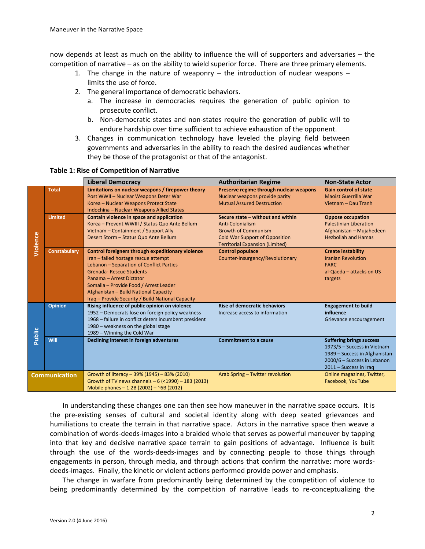now depends at least as much on the ability to influence the will of supporters and adversaries – the competition of narrative – as on the ability to wield superior force. There are three primary elements.

- 1. The change in the nature of weaponry the introduction of nuclear weapons limits the use of force.
- 2. The general importance of democratic behaviors.
	- a. The increase in democracies requires the generation of public opinion to prosecute conflict.
	- b. Non-democratic states and non-states require the generation of public will to endure hardship over time sufficient to achieve exhaustion of the opponent.
- 3. Changes in communication technology have leveled the playing field between governments and adversaries in the ability to reach the desired audiences whether they be those of the protagonist or that of the antagonist.

#### **Table 1: Rise of Competition of Narrative**

|                      |                     | <b>Liberal Democracy</b>                                                                                                                                                                                                                                                                                                                    | <b>Authoritarian Regime</b>                                                                                                                                            | <b>Non-State Actor</b>                                                                                                                                   |
|----------------------|---------------------|---------------------------------------------------------------------------------------------------------------------------------------------------------------------------------------------------------------------------------------------------------------------------------------------------------------------------------------------|------------------------------------------------------------------------------------------------------------------------------------------------------------------------|----------------------------------------------------------------------------------------------------------------------------------------------------------|
| Violence             | <b>Total</b>        | Limitations on nuclear weapons / firepower theory<br>Post WWII - Nuclear Weapons Deter War<br>Korea - Nuclear Weapons Protect State<br>Indochina - Nuclear Weapons Allied States                                                                                                                                                            | Preserve regime through nuclear weapons<br>Nuclear weapons provide parity<br><b>Mutual Assured Destruction</b>                                                         | <b>Gain control of state</b><br><b>Maoist Guerrilla War</b><br>Vietnam - Dau Tranh                                                                       |
|                      | <b>Limited</b>      | Contain violence in space and application<br>Korea - Prevent WWIII / Status Quo Ante Bellum<br>Vietnam - Containment / Support Ally<br>Desert Storm - Status Quo Ante Bellum                                                                                                                                                                | Secure state - without and within<br>Anti-Colonialism<br><b>Growth of Communism</b><br><b>Cold War Support of Opposition</b><br><b>Territorial Expansion (Limited)</b> | <b>Oppose occupation</b><br><b>Palestinian Liberation</b><br>Afghanistan - Mujahedeen<br><b>Hezbollah and Hamas</b>                                      |
|                      | <b>Constabulary</b> | Control foreigners through expeditionary violence<br>Iran - failed hostage rescue attempt<br>Lebanon - Separation of Conflict Parties<br><b>Grenada-Rescue Students</b><br>Panama - Arrest Dictator<br>Somalia - Provide Food / Arrest Leader<br>Afghanistan - Build National Capacity<br>Iraq - Provide Security / Build National Capacity | <b>Control populace</b><br>Counter-Insurgency/Revolutionary                                                                                                            | <b>Create instability</b><br><b>Iranian Revolution</b><br><b>FARC</b><br>al-Qaeda - attacks on US<br>targets                                             |
| Public               | <b>Opinion</b>      | Rising influence of public opinion on violence<br>1952 - Democrats lose on foreign policy weakness<br>1968 - failure in conflict deters incumbent president<br>1980 - weakness on the global stage<br>1989 - Winning the Cold War                                                                                                           | <b>Rise of democratic behaviors</b><br>Increase access to information                                                                                                  | <b>Engagement to build</b><br>influence<br>Grievance encouragement                                                                                       |
|                      | Will                | Declining interest in foreign adventures                                                                                                                                                                                                                                                                                                    | <b>Commitment to a cause</b>                                                                                                                                           | <b>Suffering brings success</b><br>1973/5 - Success in Vietnam<br>1989 - Success in Afghanistan<br>2000/6 - Success in Lebanon<br>2011 - Success in Iraq |
| <b>Communication</b> |                     | Growth of literacy - 39% (1945) - 83% (2010)<br>Growth of TV news channels - 6 (<1990) - 183 (2013)<br>Mobile phones - 1.2B (2002) - ~6B (2012)                                                                                                                                                                                             | Arab Spring - Twitter revolution                                                                                                                                       | Online magazines, Twitter,<br>Facebook, YouTube                                                                                                          |

In understanding these changes one can then see how maneuver in the narrative space occurs. It is the pre-existing senses of cultural and societal identity along with deep seated grievances and humiliations to create the terrain in that narrative space. Actors in the narrative space then weave a combination of words-deeds-images into a braided whole that serves as powerful maneuver by tapping into that key and decisive narrative space terrain to gain positions of advantage. Influence is built through the use of the words-deeds-images and by connecting people to those things through engagements in person, through media, and through actions that confirm the narrative: more wordsdeeds-images. Finally, the kinetic or violent actions performed provide power and emphasis.

The change in warfare from predominantly being determined by the competition of violence to being predominantly determined by the competition of narrative leads to re-conceptualizing the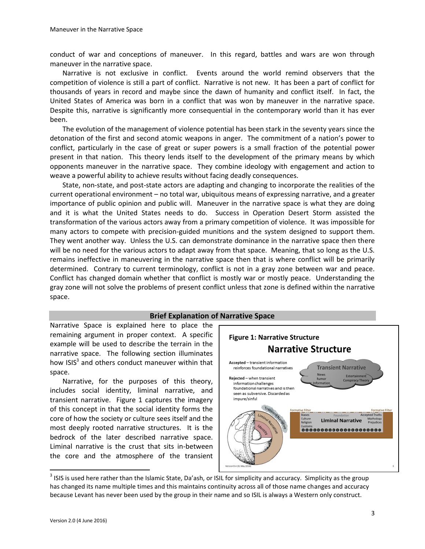conduct of war and conceptions of maneuver. In this regard, battles and wars are won through maneuver in the narrative space.

Narrative is not exclusive in conflict. Events around the world remind observers that the competition of violence is still a part of conflict. Narrative is not new. It has been a part of conflict for thousands of years in record and maybe since the dawn of humanity and conflict itself. In fact, the United States of America was born in a conflict that was won by maneuver in the narrative space. Despite this, narrative is significantly more consequential in the contemporary world than it has ever been.

The evolution of the management of violence potential has been stark in the seventy years since the detonation of the first and second atomic weapons in anger. The commitment of a nation's power to conflict, particularly in the case of great or super powers is a small fraction of the potential power present in that nation. This theory lends itself to the development of the primary means by which opponents maneuver in the narrative space. They combine ideology with engagement and action to weave a powerful ability to achieve results without facing deadly consequences.

State, non-state, and post-state actors are adapting and changing to incorporate the realities of the current operational environment – no total war, ubiquitous means of expressing narrative, and a greater importance of public opinion and public will. Maneuver in the narrative space is what they are doing and it is what the United States needs to do. Success in Operation Desert Storm assisted the transformation of the various actors away from a primary competition of violence. It was impossible for many actors to compete with precision-guided munitions and the system designed to support them. They went another way. Unless the U.S. can demonstrate dominance in the narrative space then there will be no need for the various actors to adapt away from that space. Meaning, that so long as the U.S. remains ineffective in maneuvering in the narrative space then that is where conflict will be primarily determined. Contrary to current terminology, conflict is not in a gray zone between war and peace. Conflict has changed domain whether that conflict is mostly war or mostly peace. Understanding the gray zone will not solve the problems of present conflict unless that zone is defined within the narrative space.

### **Brief Explanation of Narrative Space**

Narrative Space is explained here to place the remaining argument in proper context. A specific example will be used to describe the terrain in the narrative space. The following section illuminates how ISIS<sup>3</sup> and others conduct maneuver within that space.

Narrative, for the purposes of this theory, includes social identity, liminal narrative, and transient narrative. Figure 1 captures the imagery of this concept in that the social identity forms the core of how the society or culture sees itself and the most deeply rooted narrative structures. It is the bedrock of the later described narrative space. Liminal narrative is the crust that sits in-between the core and the atmosphere of the transient



 $^3$  ISIS is used here rather than the Islamic State, Da'ash, or ISIL for simplicity and accuracy. Simplicity as the group has changed its name multiple times and this maintains continuity across all of those name changes and accuracy because Levant has never been used by the group in their name and so ISIL is always a Western only construct.

 $\overline{\phantom{a}}$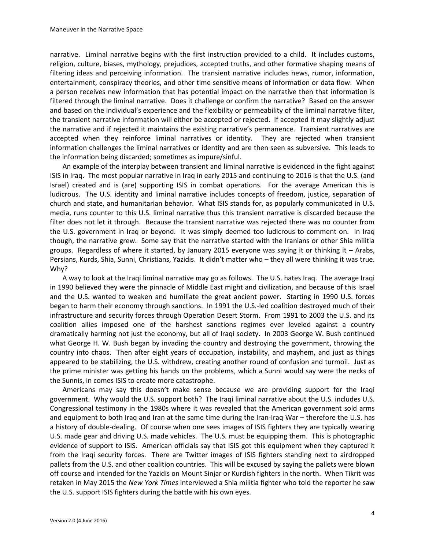narrative. Liminal narrative begins with the first instruction provided to a child. It includes customs, religion, culture, biases, mythology, prejudices, accepted truths, and other formative shaping means of filtering ideas and perceiving information. The transient narrative includes news, rumor, information, entertainment, conspiracy theories, and other time sensitive means of information or data flow. When a person receives new information that has potential impact on the narrative then that information is filtered through the liminal narrative. Does it challenge or confirm the narrative? Based on the answer and based on the individual's experience and the flexibility or permeability of the liminal narrative filter, the transient narrative information will either be accepted or rejected. If accepted it may slightly adjust the narrative and if rejected it maintains the existing narrative's permanence. Transient narratives are accepted when they reinforce liminal narratives or identity. They are rejected when transient information challenges the liminal narratives or identity and are then seen as subversive. This leads to the information being discarded; sometimes as impure/sinful.

An example of the interplay between transient and liminal narrative is evidenced in the fight against ISIS in Iraq. The most popular narrative in Iraq in early 2015 and continuing to 2016 is that the U.S. (and Israel) created and is (are) supporting ISIS in combat operations. For the average American this is ludicrous. The U.S. identity and liminal narrative includes concepts of freedom, justice, separation of church and state, and humanitarian behavior. What ISIS stands for, as popularly communicated in U.S. media, runs counter to this U.S. liminal narrative thus this transient narrative is discarded because the filter does not let it through. Because the transient narrative was rejected there was no counter from the U.S. government in Iraq or beyond. It was simply deemed too ludicrous to comment on. In Iraq though, the narrative grew. Some say that the narrative started with the Iranians or other Shia militia groups. Regardless of where it started, by January 2015 everyone was saying it or thinking it – Arabs, Persians, Kurds, Shia, Sunni, Christians, Yazidis. It didn't matter who – they all were thinking it was true. Why?

A way to look at the Iraqi liminal narrative may go as follows. The U.S. hates Iraq. The average Iraqi in 1990 believed they were the pinnacle of Middle East might and civilization, and because of this Israel and the U.S. wanted to weaken and humiliate the great ancient power. Starting in 1990 U.S. forces began to harm their economy through sanctions. In 1991 the U.S.-led coalition destroyed much of their infrastructure and security forces through Operation Desert Storm. From 1991 to 2003 the U.S. and its coalition allies imposed one of the harshest sanctions regimes ever leveled against a country dramatically harming not just the economy, but all of Iraqi society. In 2003 George W. Bush continued what George H. W. Bush began by invading the country and destroying the government, throwing the country into chaos. Then after eight years of occupation, instability, and mayhem, and just as things appeared to be stabilizing, the U.S. withdrew, creating another round of confusion and turmoil. Just as the prime minister was getting his hands on the problems, which a Sunni would say were the necks of the Sunnis, in comes ISIS to create more catastrophe.

Americans may say this doesn't make sense because we are providing support for the Iraqi government. Why would the U.S. support both? The Iraqi liminal narrative about the U.S. includes U.S. Congressional testimony in the 1980s where it was revealed that the American government sold arms and equipment to both Iraq and Iran at the same time during the Iran-Iraq War – therefore the U.S. has a history of double-dealing. Of course when one sees images of ISIS fighters they are typically wearing U.S. made gear and driving U.S. made vehicles. The U.S. must be equipping them. This is photographic evidence of support to ISIS. American officials say that ISIS got this equipment when they captured it from the Iraqi security forces. There are Twitter images of ISIS fighters standing next to airdropped pallets from the U.S. and other coalition countries. This will be excused by saying the pallets were blown off course and intended for the Yazidis on Mount Sinjar or Kurdish fighters in the north. When Tikrit was retaken in May 2015 the *New York Times* interviewed a Shia militia fighter who told the reporter he saw the U.S. support ISIS fighters during the battle with his own eyes.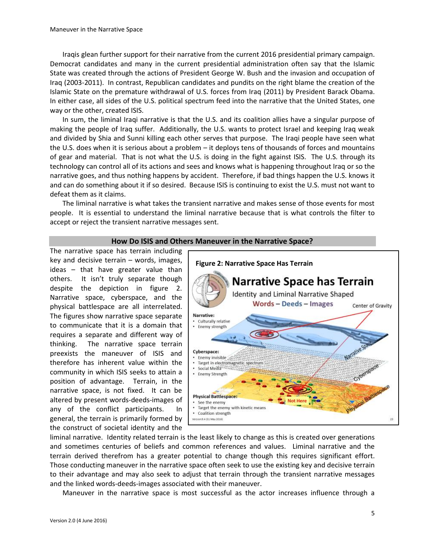Iraqis glean further support for their narrative from the current 2016 presidential primary campaign. Democrat candidates and many in the current presidential administration often say that the Islamic State was created through the actions of President George W. Bush and the invasion and occupation of Iraq (2003-2011). In contrast, Republican candidates and pundits on the right blame the creation of the Islamic State on the premature withdrawal of U.S. forces from Iraq (2011) by President Barack Obama. In either case, all sides of the U.S. political spectrum feed into the narrative that the United States, one way or the other, created ISIS.

In sum, the liminal Iraqi narrative is that the U.S. and its coalition allies have a singular purpose of making the people of Iraq suffer. Additionally, the U.S. wants to protect Israel and keeping Iraq weak and divided by Shia and Sunni killing each other serves that purpose. The Iraqi people have seen what the U.S. does when it is serious about a problem – it deploys tens of thousands of forces and mountains of gear and material. That is not what the U.S. is doing in the fight against ISIS. The U.S. through its technology can control all of its actions and sees and knows what is happening throughout Iraq or so the narrative goes, and thus nothing happens by accident. Therefore, if bad things happen the U.S. knows it and can do something about it if so desired. Because ISIS is continuing to exist the U.S. must not want to defeat them as it claims.

The liminal narrative is what takes the transient narrative and makes sense of those events for most people. It is essential to understand the liminal narrative because that is what controls the filter to accept or reject the transient narrative messages sent.

#### **How Do ISIS and Others Maneuver in the Narrative Space?**

The narrative space has terrain including key and decisive terrain – words, images, ideas – that have greater value than others. It isn't truly separate though despite the depiction in figure 2. Narrative space, cyberspace, and the physical battlespace are all interrelated. The figures show narrative space separate to communicate that it is a domain that requires a separate and different way of thinking. The narrative space terrain preexists the maneuver of ISIS and therefore has inherent value within the community in which ISIS seeks to attain a position of advantage. Terrain, in the narrative space, is not fixed. It can be altered by present words-deeds-images of any of the conflict participants. In general, the terrain is primarily formed by the construct of societal identity and the



liminal narrative. Identity related terrain is the least likely to change as this is created over generations and sometimes centuries of beliefs and common references and values. Liminal narrative and the terrain derived therefrom has a greater potential to change though this requires significant effort. Those conducting maneuver in the narrative space often seek to use the existing key and decisive terrain to their advantage and may also seek to adjust that terrain through the transient narrative messages and the linked words-deeds-images associated with their maneuver.

Maneuver in the narrative space is most successful as the actor increases influence through a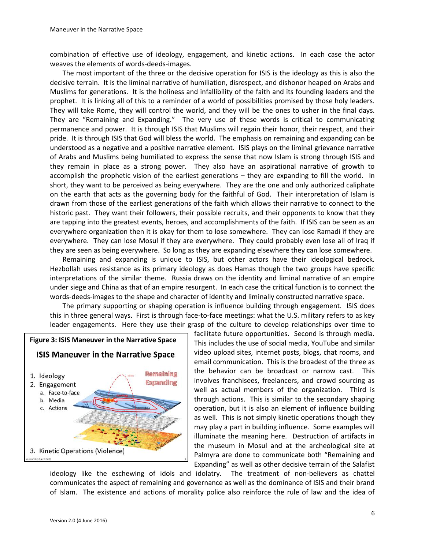combination of effective use of ideology, engagement, and kinetic actions. In each case the actor weaves the elements of words-deeds-images.

The most important of the three or the decisive operation for ISIS is the ideology as this is also the decisive terrain. It is the liminal narrative of humiliation, disrespect, and dishonor heaped on Arabs and Muslims for generations. It is the holiness and infallibility of the faith and its founding leaders and the prophet. It is linking all of this to a reminder of a world of possibilities promised by those holy leaders. They will take Rome, they will control the world, and they will be the ones to usher in the final days. They are "Remaining and Expanding." The very use of these words is critical to communicating permanence and power. It is through ISIS that Muslims will regain their honor, their respect, and their pride. It is through ISIS that God will bless the world. The emphasis on remaining and expanding can be understood as a negative and a positive narrative element. ISIS plays on the liminal grievance narrative of Arabs and Muslims being humiliated to express the sense that now Islam is strong through ISIS and they remain in place as a strong power. They also have an aspirational narrative of growth to accomplish the prophetic vision of the earliest generations – they are expanding to fill the world. In short, they want to be perceived as being everywhere. They are the one and only authorized caliphate on the earth that acts as the governing body for the faithful of God. Their interpretation of Islam is drawn from those of the earliest generations of the faith which allows their narrative to connect to the historic past. They want their followers, their possible recruits, and their opponents to know that they are tapping into the greatest events, heroes, and accomplishments of the faith. If ISIS can be seen as an everywhere organization then it is okay for them to lose somewhere. They can lose Ramadi if they are everywhere. They can lose Mosul if they are everywhere. They could probably even lose all of Iraq if they are seen as being everywhere. So long as they are expanding elsewhere they can lose somewhere.

Remaining and expanding is unique to ISIS, but other actors have their ideological bedrock. Hezbollah uses resistance as its primary ideology as does Hamas though the two groups have specific interpretations of the similar theme. Russia draws on the identity and liminal narrative of an empire under siege and China as that of an empire resurgent. In each case the critical function is to connect the words-deeds-images to the shape and character of identity and liminally constructed narrative space.

The primary supporting or shaping operation is influence building through engagement. ISIS does this in three general ways. First is through face-to-face meetings: what the U.S. military refers to as key leader engagements. Here they use their grasp of the culture to develop relationships over time to



facilitate future opportunities. Second is through media. This includes the use of social media, YouTube and similar video upload sites, internet posts, blogs, chat rooms, and email communication. This is the broadest of the three as the behavior can be broadcast or narrow cast. This involves franchisees, freelancers, and crowd sourcing as well as actual members of the organization. Third is through actions. This is similar to the secondary shaping operation, but it is also an element of influence building as well. This is not simply kinetic operations though they may play a part in building influence. Some examples will illuminate the meaning here. Destruction of artifacts in the museum in Mosul and at the archeological site at Palmyra are done to communicate both "Remaining and Expanding" as well as other decisive terrain of the Salafist

ideology like the eschewing of idols and idolatry. The treatment of non-believers as chattel communicates the aspect of remaining and governance as well as the dominance of ISIS and their brand of Islam. The existence and actions of morality police also reinforce the rule of law and the idea of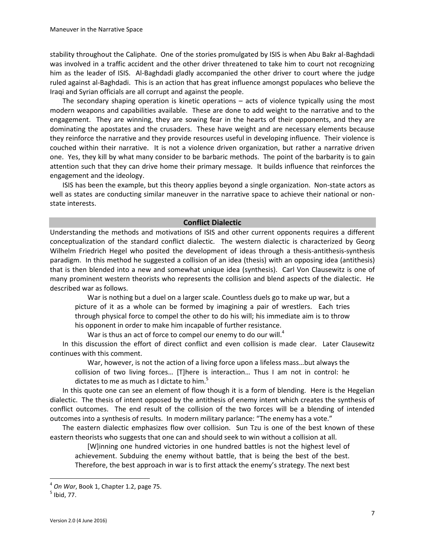stability throughout the Caliphate. One of the stories promulgated by ISIS is when Abu Bakr al-Baghdadi was involved in a traffic accident and the other driver threatened to take him to court not recognizing him as the leader of ISIS. Al-Baghdadi gladly accompanied the other driver to court where the judge ruled against al-Baghdadi. This is an action that has great influence amongst populaces who believe the Iraqi and Syrian officials are all corrupt and against the people.

The secondary shaping operation is kinetic operations – acts of violence typically using the most modern weapons and capabilities available. These are done to add weight to the narrative and to the engagement. They are winning, they are sowing fear in the hearts of their opponents, and they are dominating the apostates and the crusaders. These have weight and are necessary elements because they reinforce the narrative and they provide resources useful in developing influence. Their violence is couched within their narrative. It is not a violence driven organization, but rather a narrative driven one. Yes, they kill by what many consider to be barbaric methods. The point of the barbarity is to gain attention such that they can drive home their primary message. It builds influence that reinforces the engagement and the ideology.

ISIS has been the example, but this theory applies beyond a single organization. Non-state actors as well as states are conducting similar maneuver in the narrative space to achieve their national or nonstate interests.

#### **Conflict Dialectic**

Understanding the methods and motivations of ISIS and other current opponents requires a different conceptualization of the standard conflict dialectic. The western dialectic is characterized by Georg Wilhelm Friedrich Hegel who posited the development of ideas through a thesis-antithesis-synthesis paradigm. In this method he suggested a collision of an idea (thesis) with an opposing idea (antithesis) that is then blended into a new and somewhat unique idea (synthesis). Carl Von Clausewitz is one of many prominent western theorists who represents the collision and blend aspects of the dialectic. He described war as follows.

War is nothing but a duel on a larger scale. Countless duels go to make up war, but a picture of it as a whole can be formed by imagining a pair of wrestlers. Each tries through physical force to compel the other to do his will; his immediate aim is to throw his opponent in order to make him incapable of further resistance.

War is thus an act of force to compel our enemy to do our will. $4$ 

In this discussion the effort of direct conflict and even collision is made clear. Later Clausewitz continues with this comment.

War, however, is not the action of a living force upon a lifeless mass…but always the collision of two living forces… [T]here is interaction… Thus I am not in control: he dictates to me as much as I dictate to him. $5$ 

In this quote one can see an element of flow though it is a form of blending. Here is the Hegelian dialectic. The thesis of intent opposed by the antithesis of enemy intent which creates the synthesis of conflict outcomes. The end result of the collision of the two forces will be a blending of intended outcomes into a synthesis of results. In modern military parlance: "The enemy has a vote."

The eastern dialectic emphasizes flow over collision. Sun Tzu is one of the best known of these eastern theorists who suggests that one can and should seek to win without a collision at all.

[W]inning one hundred victories in one hundred battles is not the highest level of achievement. Subduing the enemy without battle, that is being the best of the best. Therefore, the best approach in war is to first attack the enemy's strategy. The next best

l

<sup>4</sup> *On War*, Book 1, Chapter 1.2, page 75.

 $<sup>5</sup>$  Ibid, 77.</sup>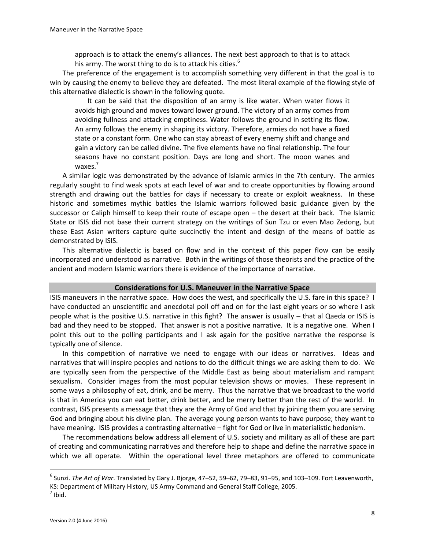approach is to attack the enemy's alliances. The next best approach to that is to attack his army. The worst thing to do is to attack his cities. $6$ 

The preference of the engagement is to accomplish something very different in that the goal is to win by causing the enemy to believe they are defeated. The most literal example of the flowing style of this alternative dialectic is shown in the following quote.

It can be said that the disposition of an army is like water. When water flows it avoids high ground and moves toward lower ground. The victory of an army comes from avoiding fullness and attacking emptiness. Water follows the ground in setting its flow. An army follows the enemy in shaping its victory. Therefore, armies do not have a fixed state or a constant form. One who can stay abreast of every enemy shift and change and gain a victory can be called divine. The five elements have no final relationship. The four seasons have no constant position. Days are long and short. The moon wanes and waxes. $<sup>7</sup>$ </sup>

A similar logic was demonstrated by the advance of Islamic armies in the 7th century. The armies regularly sought to find weak spots at each level of war and to create opportunities by flowing around strength and drawing out the battles for days if necessary to create or exploit weakness. In these historic and sometimes mythic battles the Islamic warriors followed basic guidance given by the successor or Caliph himself to keep their route of escape open – the desert at their back. The Islamic State or ISIS did not base their current strategy on the writings of Sun Tzu or even Mao Zedong, but these East Asian writers capture quite succinctly the intent and design of the means of battle as demonstrated by ISIS.

This alternative dialectic is based on flow and in the context of this paper flow can be easily incorporated and understood as narrative. Both in the writings of those theorists and the practice of the ancient and modern Islamic warriors there is evidence of the importance of narrative.

### **Considerations for U.S. Maneuver in the Narrative Space**

ISIS maneuvers in the narrative space. How does the west, and specifically the U.S. fare in this space? I have conducted an unscientific and anecdotal poll off and on for the last eight years or so where I ask people what is the positive U.S. narrative in this fight? The answer is usually – that al Qaeda or ISIS is bad and they need to be stopped. That answer is not a positive narrative. It is a negative one. When I point this out to the polling participants and I ask again for the positive narrative the response is typically one of silence.

In this competition of narrative we need to engage with our ideas or narratives. Ideas and narratives that will inspire peoples and nations to do the difficult things we are asking them to do. We are typically seen from the perspective of the Middle East as being about materialism and rampant sexualism. Consider images from the most popular television shows or movies. These represent in some ways a philosophy of eat, drink, and be merry. Thus the narrative that we broadcast to the world is that in America you can eat better, drink better, and be merry better than the rest of the world. In contrast, ISIS presents a message that they are the Army of God and that by joining them you are serving God and bringing about his divine plan. The average young person wants to have purpose; they want to have meaning. ISIS provides a contrasting alternative – fight for God or live in materialistic hedonism.

The recommendations below address all element of U.S. society and military as all of these are part of creating and communicating narratives and therefore help to shape and define the narrative space in which we all operate. Within the operational level three metaphors are offered to communicate

 $\overline{\phantom{a}}$ 

<sup>6</sup> Sunzi. *The Art of War*. Translated by Gary J. Bjorge, 47–52, 59–62, 79–83, 91–95, and 103–109. Fort Leavenworth, KS: Department of Military History, US Army Command and General Staff College, 2005.  $<sup>7</sup>$  Ibid.</sup>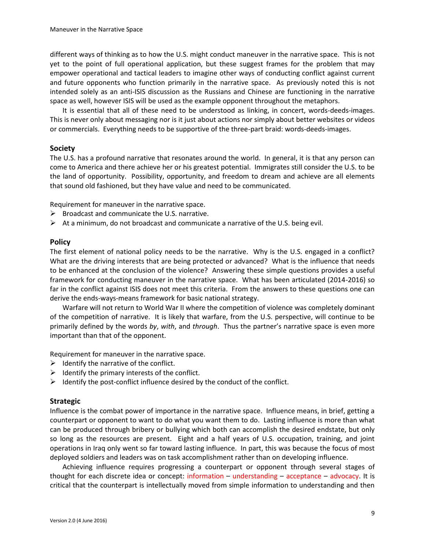different ways of thinking as to how the U.S. might conduct maneuver in the narrative space. This is not yet to the point of full operational application, but these suggest frames for the problem that may empower operational and tactical leaders to imagine other ways of conducting conflict against current and future opponents who function primarily in the narrative space. As previously noted this is not intended solely as an anti-ISIS discussion as the Russians and Chinese are functioning in the narrative space as well, however ISIS will be used as the example opponent throughout the metaphors.

It is essential that all of these need to be understood as linking, in concert, words-deeds-images. This is never only about messaging nor is it just about actions nor simply about better websites or videos or commercials. Everything needs to be supportive of the three-part braid: words-deeds-images.

### **Society**

The U.S. has a profound narrative that resonates around the world. In general, it is that any person can come to America and there achieve her or his greatest potential. Immigrates still consider the U.S. to be the land of opportunity. Possibility, opportunity, and freedom to dream and achieve are all elements that sound old fashioned, but they have value and need to be communicated.

Requirement for maneuver in the narrative space.

- $\triangleright$  Broadcast and communicate the U.S. narrative.
- $\triangleright$  At a minimum, do not broadcast and communicate a narrative of the U.S. being evil.

#### **Policy**

The first element of national policy needs to be the narrative. Why is the U.S. engaged in a conflict? What are the driving interests that are being protected or advanced? What is the influence that needs to be enhanced at the conclusion of the violence? Answering these simple questions provides a useful framework for conducting maneuver in the narrative space. What has been articulated (2014-2016) so far in the conflict against ISIS does not meet this criteria. From the answers to these questions one can derive the ends-ways-means framework for basic national strategy.

Warfare will not return to World War II where the competition of violence was completely dominant of the competition of narrative. It is likely that warfare, from the U.S. perspective, will continue to be primarily defined by the words *by*, *with*, and *through*. Thus the partner's narrative space is even more important than that of the opponent.

Requirement for maneuver in the narrative space.

- $\triangleright$  Identify the narrative of the conflict.
- $\triangleright$  Identify the primary interests of the conflict.
- $\triangleright$  Identify the post-conflict influence desired by the conduct of the conflict.

### **Strategic**

Influence is the combat power of importance in the narrative space. Influence means, in brief, getting a counterpart or opponent to want to do what you want them to do. Lasting influence is more than what can be produced through bribery or bullying which both can accomplish the desired endstate, but only so long as the resources are present. Eight and a half years of U.S. occupation, training, and joint operations in Iraq only went so far toward lasting influence. In part, this was because the focus of most deployed soldiers and leaders was on task accomplishment rather than on developing influence.

Achieving influence requires progressing a counterpart or opponent through several stages of thought for each discrete idea or concept: information – understanding – acceptance – advocacy. It is critical that the counterpart is intellectually moved from simple information to understanding and then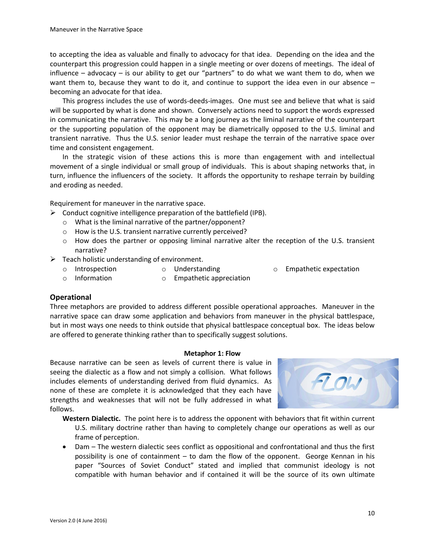to accepting the idea as valuable and finally to advocacy for that idea. Depending on the idea and the counterpart this progression could happen in a single meeting or over dozens of meetings. The ideal of influence – advocacy – is our ability to get our "partners" to do what we want them to do, when we want them to, because they want to do it, and continue to support the idea even in our absence – becoming an advocate for that idea.

This progress includes the use of words-deeds-images. One must see and believe that what is said will be supported by what is done and shown. Conversely actions need to support the words expressed in communicating the narrative. This may be a long journey as the liminal narrative of the counterpart or the supporting population of the opponent may be diametrically opposed to the U.S. liminal and transient narrative. Thus the U.S. senior leader must reshape the terrain of the narrative space over time and consistent engagement.

In the strategic vision of these actions this is more than engagement with and intellectual movement of a single individual or small group of individuals. This is about shaping networks that, in turn, influence the influencers of the society. It affords the opportunity to reshape terrain by building and eroding as needed.

Requirement for maneuver in the narrative space.

- $\triangleright$  Conduct cognitive intelligence preparation of the battlefield (IPB).
	- o What is the liminal narrative of the partner/opponent?
	- o How is the U.S. transient narrative currently perceived?
	- $\circ$  How does the partner or opposing liminal narrative alter the reception of the U.S. transient narrative?
- $\triangleright$  Teach holistic understanding of environment.
	- o Introspection
- o Understanding
- o Empathetic expectation
- o Information o Empathetic appreciation

### **Operational**

Three metaphors are provided to address different possible operational approaches. Maneuver in the narrative space can draw some application and behaviors from maneuver in the physical battlespace, but in most ways one needs to think outside that physical battlespace conceptual box. The ideas below are offered to generate thinking rather than to specifically suggest solutions.

#### **Metaphor 1: Flow**

Because narrative can be seen as levels of current there is value in seeing the dialectic as a flow and not simply a collision. What follows includes elements of understanding derived from fluid dynamics. As none of these are complete it is acknowledged that they each have strengths and weaknesses that will not be fully addressed in what follows.



**Western Dialectic.** The point here is to address the opponent with behaviors that fit within current U.S. military doctrine rather than having to completely change our operations as well as our frame of perception.

 Dam – The western dialectic sees conflict as oppositional and confrontational and thus the first possibility is one of containment – to dam the flow of the opponent. George Kennan in his paper "Sources of Soviet Conduct" stated and implied that communist ideology is not compatible with human behavior and if contained it will be the source of its own ultimate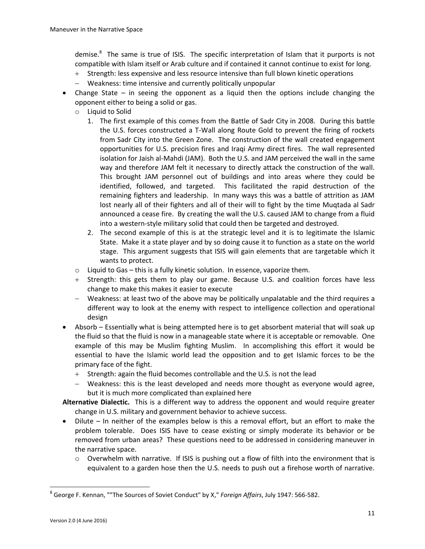demise.<sup>8</sup> The same is true of ISIS. The specific interpretation of Islam that it purports is not compatible with Islam itself or Arab culture and if contained it cannot continue to exist for long.

- Strength: less expensive and less resource intensive than full blown kinetic operations
- Weakness: time intensive and currently politically unpopular
- Change State in seeing the opponent as a liquid then the options include changing the opponent either to being a solid or gas.
	- o Liquid to Solid
		- 1. The first example of this comes from the Battle of Sadr City in 2008. During this battle the U.S. forces constructed a T-Wall along Route Gold to prevent the firing of rockets from Sadr City into the Green Zone. The construction of the wall created engagement opportunities for U.S. precision fires and Iraqi Army direct fires. The wall represented isolation for Jaish al-Mahdi (JAM). Both the U.S. and JAM perceived the wall in the same way and therefore JAM felt it necessary to directly attack the construction of the wall. This brought JAM personnel out of buildings and into areas where they could be identified, followed, and targeted. This facilitated the rapid destruction of the remaining fighters and leadership. In many ways this was a battle of attrition as JAM lost nearly all of their fighters and all of their will to fight by the time Muqtada al Sadr announced a cease fire. By creating the wall the U.S. caused JAM to change from a fluid into a western-style military solid that could then be targeted and destroyed.
		- 2. The second example of this is at the strategic level and it is to legitimate the Islamic State. Make it a state player and by so doing cause it to function as a state on the world stage. This argument suggests that ISIS will gain elements that are targetable which it wants to protect.
	- o Liquid to Gas this is a fully kinetic solution. In essence, vaporize them.
	- + Strength: this gets them to play our game. Because U.S. and coalition forces have less change to make this makes it easier to execute
	- Weakness: at least two of the above may be politically unpalatable and the third requires a different way to look at the enemy with respect to intelligence collection and operational design
- Absorb Essentially what is being attempted here is to get absorbent material that will soak up the fluid so that the fluid is now in a manageable state where it is acceptable or removable. One example of this may be Muslim fighting Muslim. In accomplishing this effort it would be essential to have the Islamic world lead the opposition and to get Islamic forces to be the primary face of the fight.
	- + Strength: again the fluid becomes controllable and the U.S. is not the lead
	- Weakness: this is the least developed and needs more thought as everyone would agree, but it is much more complicated than explained here

**Alternative Dialectic.** This is a different way to address the opponent and would require greater change in U.S. military and government behavior to achieve success.

- Dilute In neither of the examples below is this a removal effort, but an effort to make the problem tolerable. Does ISIS have to cease existing or simply moderate its behavior or be removed from urban areas? These questions need to be addressed in considering maneuver in the narrative space.
	- $\circ$  Overwhelm with narrative. If ISIS is pushing out a flow of filth into the environment that is equivalent to a garden hose then the U.S. needs to push out a firehose worth of narrative.

 $\overline{\phantom{a}}$ 

<sup>8</sup> George F. Kennan, ""The Sources of Soviet Conduct" by X," *Foreign Affairs*, July 1947: 566-582.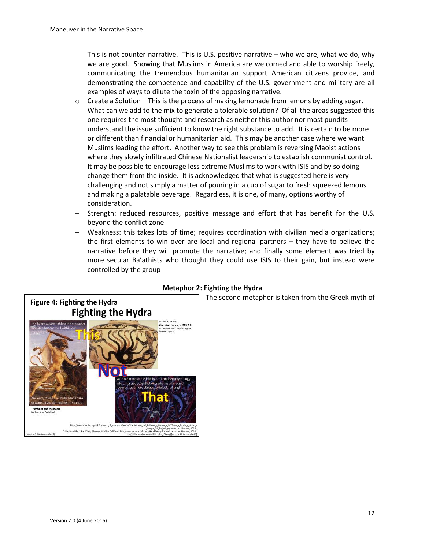This is not counter-narrative. This is U.S. positive narrative – who we are, what we do, why we are good. Showing that Muslims in America are welcomed and able to worship freely, communicating the tremendous humanitarian support American citizens provide, and demonstrating the competence and capability of the U.S. government and military are all examples of ways to dilute the toxin of the opposing narrative.

- $\circ$  Create a Solution This is the process of making lemonade from lemons by adding sugar. What can we add to the mix to generate a tolerable solution? Of all the areas suggested this one requires the most thought and research as neither this author nor most pundits understand the issue sufficient to know the right substance to add. It is certain to be more or different than financial or humanitarian aid. This may be another case where we want Muslims leading the effort. Another way to see this problem is reversing Maoist actions where they slowly infiltrated Chinese Nationalist leadership to establish communist control. It may be possible to encourage less extreme Muslims to work with ISIS and by so doing change them from the inside. It is acknowledged that what is suggested here is very challenging and not simply a matter of pouring in a cup of sugar to fresh squeezed lemons and making a palatable beverage. Regardless, it is one, of many, options worthy of consideration.
- + Strength: reduced resources, positive message and effort that has benefit for the U.S. beyond the conflict zone
- Weakness: this takes lots of time; requires coordination with civilian media organizations; the first elements to win over are local and regional partners – they have to believe the narrative before they will promote the narrative; and finally some element was tried by more secular Ba'athists who thought they could use ISIS to their gain, but instead were controlled by the group



## **Metaphor 2: Fighting the Hydra**

The second metaphor is taken from the Greek myth of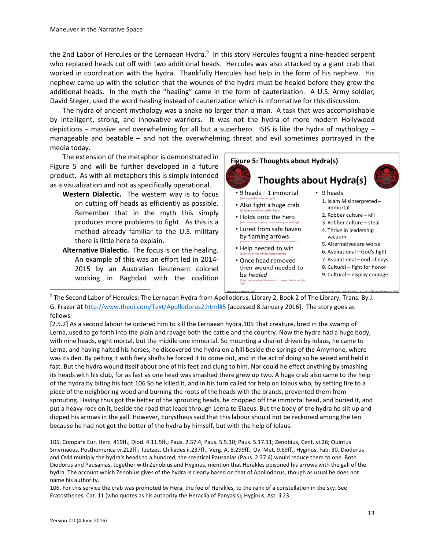the 2nd Labor of Hercules or the Lernaean Hydra.<sup>9</sup> In this story Hercules fought a nine-headed serpent who replaced heads cut off with two additional heads. Hercules was also attacked by a giant crab that worked in coordination with the hydra. Thankfully Hercules had help in the form of his nephew. His nephew came up with the solution that the wounds of the hydra must be healed before they grew the additional heads. In the myth the "healing" came in the form of cauterization. A U.S. Army soldier, David Steger, used the word healing instead of cauterization which is informative for this discussion.

The hydra of ancient mythology was a snake no larger than a man. A task that was accomplishable by intelligent, strong, and innovative warriors. It was not the hydra of more modern Hollywood depictions – massive and overwhelming for all but a superhero. ISIS is like the hydra of mythology – manageable and beatable – and not the overwhelming threat and evil sometimes portrayed in the media today.

The extension of the metaphor is demonstrated in Figure 5 and will be further developed in a future product. As with all metaphors this is simply intended as a visualization and not as specifically operational.

- **Western Dialectic.** The western way is to focus on cutting off heads as efficiently as possible. Remember that in the myth this simply produces more problems to fight. As this is a method already familiar to the U.S. military there is little here to explain.
- **Alternative Dialectic.** The focus is on the healing. An example of this was an effort led in 2014- 2015 by an Australian lieutenant colonel working in Baghdad with the coalition

**Figure 5: Thoughts about Hydra(s) Thoughts about Hydra(s)** • 9 heads - 1 immortal  $\cdot$  9 heads 1. Islam Misinterpreted-• Also fight a huge crab immortal 2. Robber culture - kill • Holds onto the hero 3. Robber culture - steal • Lured from safe haven 4. Thrive in leadership by flaming arrows vacuum 5. Alternatives are worse • Help needed to win 6. Aspirational – God's fight 7. Aspirational - end of days • Once head removed 8. Cultural - fight for honor then wound needed to be healed 9. Cultural - display courage nds - see problems on the

 $^9$  The Second Labor of Hercules: The Lernaean Hydra from Apollodorus, Library 2, Book 2 of The Library, Trans. By J. G. Frazer at <http://www.theoi.com/Text/Apollodorus2.html#5> [accessed 8 January 2016]. The story goes as follows:

[2.5.2] As a second labour he ordered him to kill the Lernaean hydra.105 That creature, bred in the swamp of Lerna, used to go forth into the plain and ravage both the cattle and the country. Now the hydra had a huge body, with nine heads, eight mortal, but the middle one immortal. So mounting a chariot driven by Iolaus, he came to Lerna, and having halted his horses, he discovered the hydra on a hill beside the springs of the Amymone, where was its den. By pelting it with fiery shafts he forced it to come out, and in the act of doing so he seized and held it fast. But the hydra wound itself about one of his feet and clung to him. Nor could he effect anything by smashing its heads with his club, for as fast as one head was smashed there grew up two. A huge crab also came to the help of the hydra by biting his foot.106 So he killed it, and in his turn called for help on Iolaus who, by setting fire to a piece of the neighboring wood and burning the roots of the heads with the brands, prevented them from sprouting. Having thus got the better of the sprouting heads, he chopped off the immortal head, and buried it, and put a heavy rock on it, beside the road that leads through Lerna to Elaeus. But the body of the hydra he slit up and dipped his arrows in the gall. However, Eurystheus said that this labour should not be reckoned among the ten because he had not got the better of the hydra by himself, but with the help of Iolaus.

105. Compare Eur. Herc. 419ff.; Diod. 4.11.5ff.; Paus. 2.37.4; Paus. 5.5.10; Paus. 5.17.11; Zenobius, Cent. vi.26; Quintus Smyrnaeus, Posthomerica vi.212ff.; Tzetzes, Chiliades ii.237ff.; Verg. A. 8.299ff.; Ov. Met. 9.69ff.; Hyginus, Fab. 30. Diodorus and Ovid multiply the hydra's heads to a hundred; the sceptical Pausanias (Paus. 2.37.4) would reduce them to one. Both Diodorus and Pausanias, together with Zenobius and Hyginus, mention that Herakles poisoned his arrows with the gall of the hydra. The account which Zenobius gives of the hydra is clearly based on that of Apollodorus, though as usual he does not name his authority.

 $\overline{a}$ 

<sup>106.</sup> For this service the crab was promoted by Hera, the foe of Herakles, to the rank of a constellation in the sky. See Eratosthenes, Cat. 11 (who quotes as his authority the Heraclia of Panyasis); Hyginus, Ast. ii.23.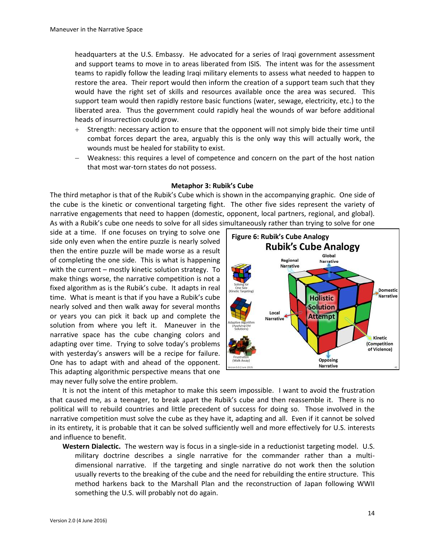headquarters at the U.S. Embassy. He advocated for a series of Iraqi government assessment and support teams to move in to areas liberated from ISIS. The intent was for the assessment teams to rapidly follow the leading Iraqi military elements to assess what needed to happen to restore the area. Their report would then inform the creation of a support team such that they would have the right set of skills and resources available once the area was secured. This support team would then rapidly restore basic functions (water, sewage, electricity, etc.) to the liberated area. Thus the government could rapidly heal the wounds of war before additional heads of insurrection could grow.

- Strength: necessary action to ensure that the opponent will not simply bide their time until combat forces depart the area, arguably this is the only way this will actually work, the wounds must be healed for stability to exist.
- Weakness: this requires a level of competence and concern on the part of the host nation that most war-torn states do not possess.

#### **Metaphor 3: Rubik's Cube**

The third metaphor is that of the Rubik's Cube which is shown in the accompanying graphic. One side of the cube is the kinetic or conventional targeting fight. The other five sides represent the variety of narrative engagements that need to happen (domestic, opponent, local partners, regional, and global). As with a Rubik's cube one needs to solve for all sides simultaneously rather than trying to solve for one

side at a time. If one focuses on trying to solve one side only even when the entire puzzle is nearly solved then the entire puzzle will be made worse as a result of completing the one side. This is what is happening with the current – mostly kinetic solution strategy. To make things worse, the narrative competition is not a fixed algorithm as is the Rubik's cube. It adapts in real time. What is meant is that if you have a Rubik's cube nearly solved and then walk away for several months or years you can pick it back up and complete the solution from where you left it. Maneuver in the narrative space has the cube changing colors and adapting over time. Trying to solve today's problems with yesterday's answers will be a recipe for failure. One has to adapt with and ahead of the opponent. This adapting algorithmic perspective means that one may never fully solve the entire problem.



It is not the intent of this metaphor to make this seem impossible. I want to avoid the frustration that caused me, as a teenager, to break apart the Rubik's cube and then reassemble it. There is no political will to rebuild countries and little precedent of success for doing so. Those involved in the narrative competition must solve the cube as they have it, adapting and all. Even if it cannot be solved in its entirety, it is probable that it can be solved sufficiently well and more effectively for U.S. interests and influence to benefit.

**Western Dialectic.** The western way is focus in a single-side in a reductionist targeting model. U.S. military doctrine describes a single narrative for the commander rather than a multidimensional narrative. If the targeting and single narrative do not work then the solution usually reverts to the breaking of the cube and the need for rebuilding the entire structure. This method harkens back to the Marshall Plan and the reconstruction of Japan following WWII something the U.S. will probably not do again.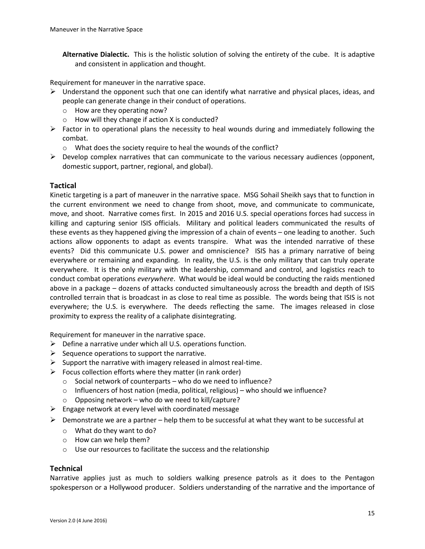**Alternative Dialectic.** This is the holistic solution of solving the entirety of the cube. It is adaptive and consistent in application and thought.

Requirement for maneuver in the narrative space.

- $\triangleright$  Understand the opponent such that one can identify what narrative and physical places, ideas, and people can generate change in their conduct of operations.
	- o How are they operating now?
	- o How will they change if action X is conducted?
- $\triangleright$  Factor in to operational plans the necessity to heal wounds during and immediately following the combat.
	- o What does the society require to heal the wounds of the conflict?
- $\triangleright$  Develop complex narratives that can communicate to the various necessary audiences (opponent, domestic support, partner, regional, and global).

### **Tactical**

Kinetic targeting is a part of maneuver in the narrative space. MSG Sohail Sheikh says that to function in the current environment we need to change from shoot, move, and communicate to communicate, move, and shoot. Narrative comes first. In 2015 and 2016 U.S. special operations forces had success in killing and capturing senior ISIS officials. Military and political leaders communicated the results of these events as they happened giving the impression of a chain of events – one leading to another. Such actions allow opponents to adapt as events transpire. What was the intended narrative of these events? Did this communicate U.S. power and omniscience? ISIS has a primary narrative of being everywhere or remaining and expanding. In reality, the U.S. is the only military that can truly operate everywhere. It is the only military with the leadership, command and control, and logistics reach to conduct combat operations *everywhere*. What would be ideal would be conducting the raids mentioned above in a package – dozens of attacks conducted simultaneously across the breadth and depth of ISIS controlled terrain that is broadcast in as close to real time as possible. The words being that ISIS is not everywhere; the U.S. is everywhere. The deeds reflecting the same. The images released in close proximity to express the reality of a caliphate disintegrating.

Requirement for maneuver in the narrative space.

- $\triangleright$  Define a narrative under which all U.S. operations function.
- $\triangleright$  Sequence operations to support the narrative.
- $\triangleright$  Support the narrative with imagery released in almost real-time.
- $\triangleright$  Focus collection efforts where they matter (in rank order)
	- o Social network of counterparts who do we need to influence?
	- $\circ$  Influencers of host nation (media, political, religious) who should we influence?
	- o Opposing network who do we need to kill/capture?
- $\triangleright$  Engage network at every level with coordinated message
- $\triangleright$  Demonstrate we are a partner help them to be successful at what they want to be successful at
	- o What do they want to do?
	- o How can we help them?
	- o Use our resources to facilitate the success and the relationship

### **Technical**

Narrative applies just as much to soldiers walking presence patrols as it does to the Pentagon spokesperson or a Hollywood producer. Soldiers understanding of the narrative and the importance of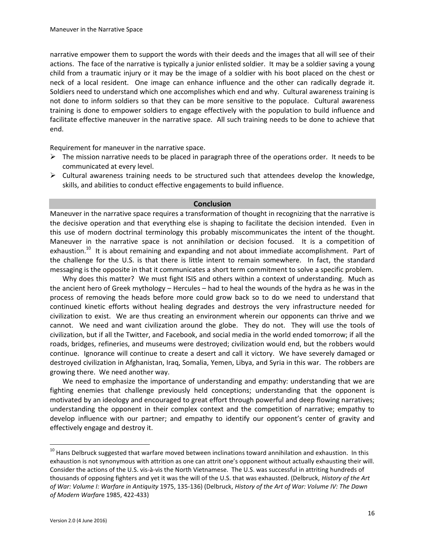narrative empower them to support the words with their deeds and the images that all will see of their actions. The face of the narrative is typically a junior enlisted soldier. It may be a soldier saving a young child from a traumatic injury or it may be the image of a soldier with his boot placed on the chest or neck of a local resident. One image can enhance influence and the other can radically degrade it. Soldiers need to understand which one accomplishes which end and why. Cultural awareness training is not done to inform soldiers so that they can be more sensitive to the populace. Cultural awareness training is done to empower soldiers to engage effectively with the population to build influence and facilitate effective maneuver in the narrative space. All such training needs to be done to achieve that end.

Requirement for maneuver in the narrative space.

- $\triangleright$  The mission narrative needs to be placed in paragraph three of the operations order. It needs to be communicated at every level.
- $\triangleright$  Cultural awareness training needs to be structured such that attendees develop the knowledge, skills, and abilities to conduct effective engagements to build influence.

#### **Conclusion**

Maneuver in the narrative space requires a transformation of thought in recognizing that the narrative is the decisive operation and that everything else is shaping to facilitate the decision intended. Even in this use of modern doctrinal terminology this probably miscommunicates the intent of the thought. Maneuver in the narrative space is not annihilation or decision focused. It is a competition of exhaustion.<sup>10</sup> It is about remaining and expanding and not about immediate accomplishment. Part of the challenge for the U.S. is that there is little intent to remain somewhere. In fact, the standard messaging is the opposite in that it communicates a short term commitment to solve a specific problem.

Why does this matter? We must fight ISIS and others within a context of understanding. Much as the ancient hero of Greek mythology – Hercules – had to heal the wounds of the hydra as he was in the process of removing the heads before more could grow back so to do we need to understand that continued kinetic efforts without healing degrades and destroys the very infrastructure needed for civilization to exist. We are thus creating an environment wherein our opponents can thrive and we cannot. We need and want civilization around the globe. They do not. They will use the tools of civilization, but if all the Twitter, and Facebook, and social media in the world ended tomorrow; if all the roads, bridges, refineries, and museums were destroyed; civilization would end, but the robbers would continue. Ignorance will continue to create a desert and call it victory. We have severely damaged or destroyed civilization in Afghanistan, Iraq, Somalia, Yemen, Libya, and Syria in this war. The robbers are growing there. We need another way.

We need to emphasize the importance of understanding and empathy: understanding that we are fighting enemies that challenge previously held conceptions; understanding that the opponent is motivated by an ideology and encouraged to great effort through powerful and deep flowing narratives; understanding the opponent in their complex context and the competition of narrative; empathy to develop influence with our partner; and empathy to identify our opponent's center of gravity and effectively engage and destroy it.

 $\overline{a}$ 

<sup>&</sup>lt;sup>10</sup> Hans Delbruck suggested that warfare moved between inclinations toward annihilation and exhaustion. In this exhaustion is not synonymous with attrition as one can attrit one's opponent without actually exhausting their will. Consider the actions of the U.S. vis-à-vis the North Vietnamese. The U.S. was successful in attriting hundreds of thousands of opposing fighters and yet it was the will of the U.S. that was exhausted. (Delbruck, *History of the Art of War: Volume I: Warfare in Antiquity* 1975, 135-136) (Delbruck, *History of the Art of War: Volume IV: The Dawn of Modern Warfar*e 1985, 422-433)